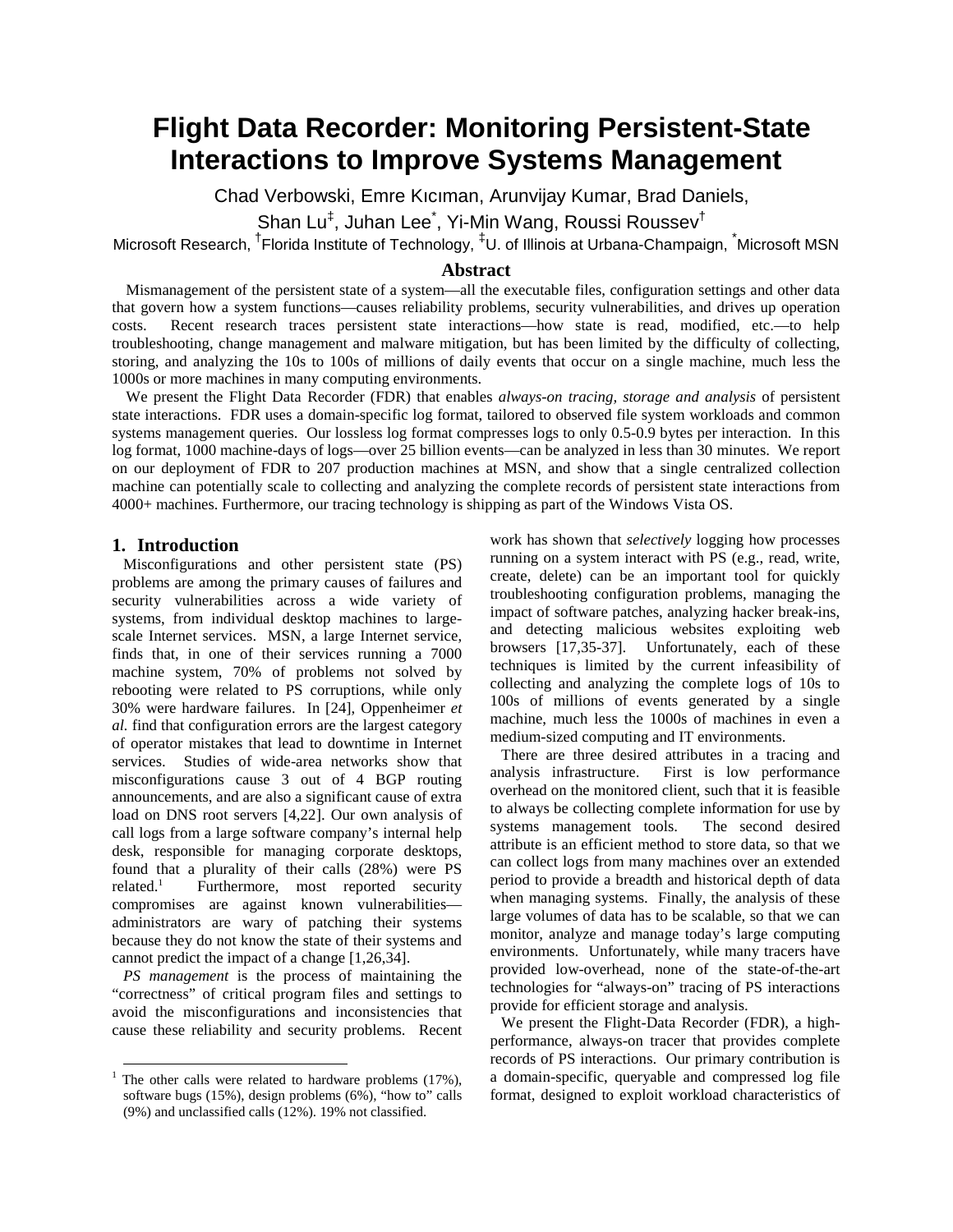# **Flight Data Recorder: Monitoring Persistent-State Interactions to Improve Systems Management**

Chad Verbowski, Emre Kıcıman, Arunvijay Kumar, Brad Daniels,

Shan Lu $^\ddag$ , Juhan Lee $\dot{\tilde{}}$ , Yi-Min Wang, Roussi Roussev $^\dagger$ 

Microsoft Research, <sup>†</sup>Florida Institute of Technology, <sup>‡</sup>U. of Illinois at Urbana-Champaign, Microsoft MSN

# **Abstract**

Mismanagement of the persistent state of a system—all the executable files, configuration settings and other data that govern how a system functions—causes reliability problems, security vulnerabilities, and drives up operation costs. Recent research traces persistent state interactions—how state is read, modified, etc.—to help troubleshooting, change management and malware mitigation, but has been limited by the difficulty of collecting, storing, and analyzing the 10s to 100s of millions of daily events that occur on a single machine, much less the 1000s or more machines in many computing environments.

We present the Flight Data Recorder (FDR) that enables *always-on tracing, storage and analysis* of persistent state interactions. FDR uses a domain-specific log format, tailored to observed file system workloads and common systems management queries. Our lossless log format compresses logs to only 0.5-0.9 bytes per interaction. In this log format, 1000 machine-days of logs—over 25 billion events—can be analyzed in less than 30 minutes. We report on our deployment of FDR to 207 production machines at MSN, and show that a single centralized collection machine can potentially scale to collecting and analyzing the complete records of persistent state interactions from 4000+ machines. Furthermore, our tracing technology is shipping as part of the Windows Vista OS.

#### **1. Introduction**

Misconfigurations and other persistent state (PS) problems are among the primary causes of failures and security vulnerabilities across a wide variety of systems, from individual desktop machines to largescale Internet services. MSN, a large Internet service, finds that, in one of their services running a 7000 machine system, 70% of problems not solved by rebooting were related to PS corruptions, while only 30% were hardware failures. In [24], Oppenheimer *et al.* find that configuration errors are the largest category of operator mistakes that lead to downtime in Internet services. Studies of wide-area networks show that misconfigurations cause 3 out of 4 BGP routing announcements, and are also a significant cause of extra load on DNS root servers [4,22]. Our own analysis of call logs from a large software company's internal help desk, responsible for managing corporate desktops, found that a plurality of their calls (28%) were PS related. $1$  Furthermore, most reported security compromises are against known vulnerabilities administrators are wary of patching their systems because they do not know the state of their systems and cannot predict the impact of a change [1,26,34].

*PS management* is the process of maintaining the "correctness" of critical program files and settings to avoid the misconfigurations and inconsistencies that cause these reliability and security problems. Recent work has shown that *selectively* logging how processes running on a system interact with PS (e.g., read, write, create, delete) can be an important tool for quickly troubleshooting configuration problems, managing the impact of software patches, analyzing hacker break-ins, and detecting malicious websites exploiting web browsers [17,35-37]. Unfortunately, each of these techniques is limited by the current infeasibility of collecting and analyzing the complete logs of 10s to 100s of millions of events generated by a single machine, much less the 1000s of machines in even a medium-sized computing and IT environments.

There are three desired attributes in a tracing and analysis infrastructure. First is low performance overhead on the monitored client, such that it is feasible to always be collecting complete information for use by systems management tools. The second desired attribute is an efficient method to store data, so that we can collect logs from many machines over an extended period to provide a breadth and historical depth of data when managing systems. Finally, the analysis of these large volumes of data has to be scalable, so that we can monitor, analyze and manage today's large computing environments. Unfortunately, while many tracers have provided low-overhead, none of the state-of-the-art technologies for "always-on" tracing of PS interactions provide for efficient storage and analysis.

We present the Flight-Data Recorder (FDR), a highperformance, always-on tracer that provides complete records of PS interactions. Our primary contribution is a domain-specific, queryable and compressed log file format, designed to exploit workload characteristics of

The other calls were related to hardware problems (17%), software bugs (15%), design problems (6%), "how to" calls (9%) and unclassified calls (12%). 19% not classified.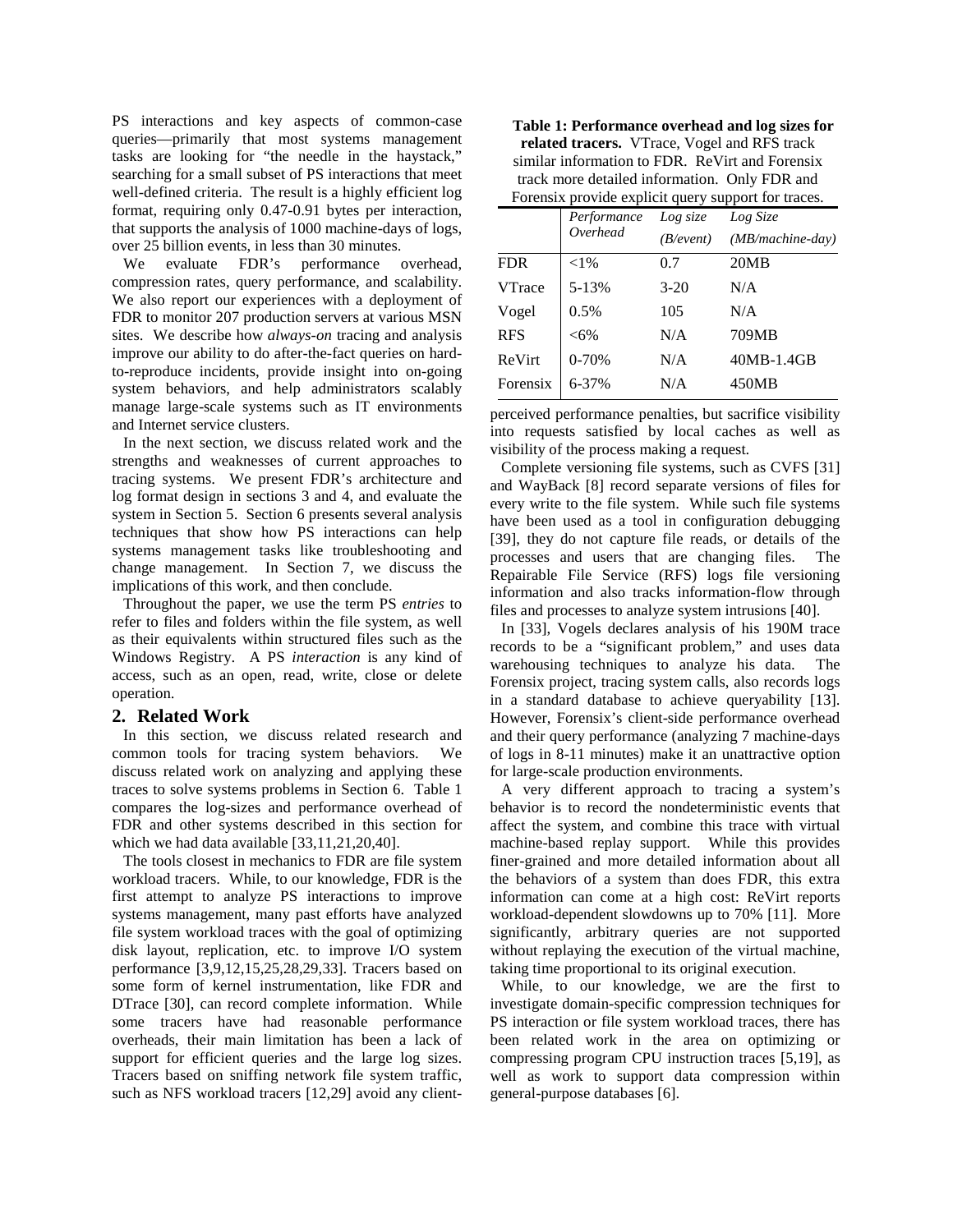PS interactions and key aspects of common-case queries—primarily that most systems management tasks are looking for "the needle in the haystack," searching for a small subset of PS interactions that meet well-defined criteria. The result is a highly efficient log format, requiring only 0.47-0.91 bytes per interaction, that supports the analysis of 1000 machine-days of logs, over 25 billion events, in less than 30 minutes.

We evaluate FDR's performance overhead, compression rates, query performance, and scalability. We also report our experiences with a deployment of FDR to monitor 207 production servers at various MSN sites. We describe how *always-on* tracing and analysis improve our ability to do after-the-fact queries on hardto-reproduce incidents, provide insight into on-going system behaviors, and help administrators scalably manage large-scale systems such as IT environments and Internet service clusters.

In the next section, we discuss related work and the strengths and weaknesses of current approaches to tracing systems. We present FDR's architecture and log format design in sections 3 and 4, and evaluate the system in Section 5. Section 6 presents several analysis techniques that show how PS interactions can help systems management tasks like troubleshooting and change management. In Section 7, we discuss the implications of this work, and then conclude.

Throughout the paper, we use the term PS *entries* to refer to files and folders within the file system, as well as their equivalents within structured files such as the Windows Registry. A PS *interaction* is any kind of access, such as an open, read, write, close or delete operation.

# **2. Related Work**

In this section, we discuss related research and common tools for tracing system behaviors. We discuss related work on analyzing and applying these traces to solve systems problems in Section 6. Table 1 compares the log-sizes and performance overhead of FDR and other systems described in this section for which we had data available [33,11,21,20,40].

The tools closest in mechanics to FDR are file system workload tracers. While, to our knowledge, FDR is the first attempt to analyze PS interactions to improve systems management, many past efforts have analyzed file system workload traces with the goal of optimizing disk layout, replication, etc. to improve I/O system performance [3,9,12,15,25,28,29,33]. Tracers based on some form of kernel instrumentation, like FDR and DTrace [30], can record complete information. While some tracers have had reasonable performance overheads, their main limitation has been a lack of support for efficient queries and the large log sizes. Tracers based on sniffing network file system traffic, such as NFS workload tracers [12,29] avoid any client-

| Table 1: Performance overhead and log sizes for     |
|-----------------------------------------------------|
| related tracers. VTrace, Vogel and RFS track        |
| similar information to FDR. ReVirt and Forensix     |
| track more detailed information. Only FDR and       |
| Forensix provide explicit query support for traces. |

|               | Performance | Log size  | Log Size           |  |  |
|---------------|-------------|-----------|--------------------|--|--|
|               | Overhead    | (B/event) | $(MB/machine-day)$ |  |  |
| <b>FDR</b>    | ${<}1\%$    | 0.7       | 20MB               |  |  |
| <b>VTrace</b> | 5-13%       | $3-20$    | N/A                |  |  |
| Vogel         | 0.5%        | 105       | N/A                |  |  |
| <b>RFS</b>    | $<6\%$      | N/A       | 709MB              |  |  |
| ReVirt        | $0 - 70%$   | N/A       | 40MB-1.4GB         |  |  |
| Forensix      | 6-37%       | N/A       | 450MB              |  |  |

perceived performance penalties, but sacrifice visibility into requests satisfied by local caches as well as visibility of the process making a request.

Complete versioning file systems, such as CVFS [31] and WayBack [8] record separate versions of files for every write to the file system. While such file systems have been used as a tool in configuration debugging [39], they do not capture file reads, or details of the processes and users that are changing files. The Repairable File Service (RFS) logs file versioning information and also tracks information-flow through files and processes to analyze system intrusions [40].

In [33], Vogels declares analysis of his 190M trace records to be a "significant problem," and uses data warehousing techniques to analyze his data. The Forensix project, tracing system calls, also records logs in a standard database to achieve queryability [13]. However, Forensix's client-side performance overhead and their query performance (analyzing 7 machine-days of logs in 8-11 minutes) make it an unattractive option for large-scale production environments.

A very different approach to tracing a system's behavior is to record the nondeterministic events that affect the system, and combine this trace with virtual machine-based replay support. While this provides finer-grained and more detailed information about all the behaviors of a system than does FDR, this extra information can come at a high cost: ReVirt reports workload-dependent slowdowns up to 70% [11]. More significantly, arbitrary queries are not supported without replaying the execution of the virtual machine, taking time proportional to its original execution.

While, to our knowledge, we are the first to investigate domain-specific compression techniques for PS interaction or file system workload traces, there has been related work in the area on optimizing or compressing program CPU instruction traces [5,19], as well as work to support data compression within general-purpose databases [6].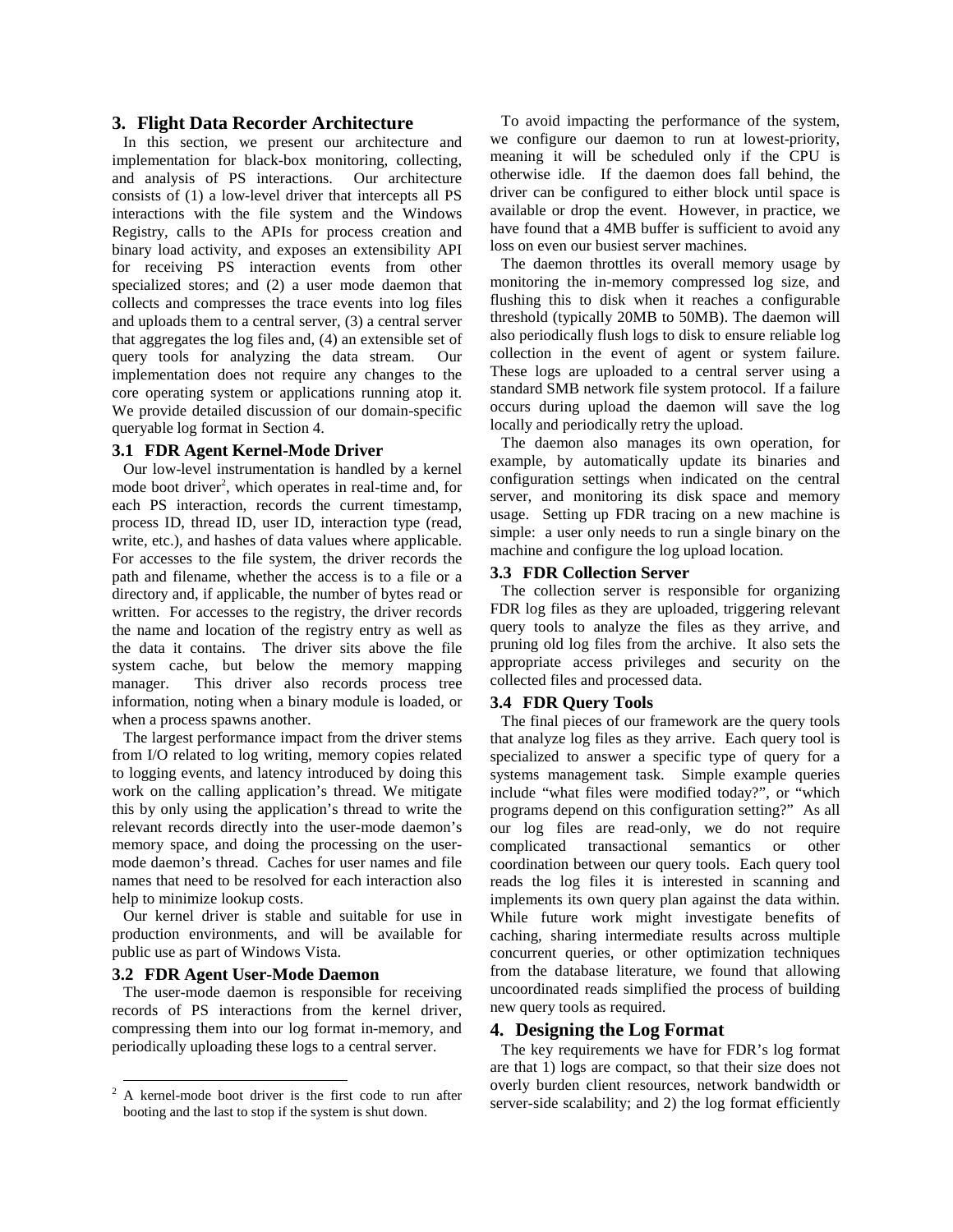## **3. Flight Data Recorder Architecture**

In this section, we present our architecture and implementation for black-box monitoring, collecting, and analysis of PS interactions. Our architecture consists of (1) a low-level driver that intercepts all PS interactions with the file system and the Windows Registry, calls to the APIs for process creation and binary load activity, and exposes an extensibility API for receiving PS interaction events from other specialized stores; and (2) a user mode daemon that collects and compresses the trace events into log files and uploads them to a central server, (3) a central server that aggregates the log files and, (4) an extensible set of query tools for analyzing the data stream. Our implementation does not require any changes to the core operating system or applications running atop it. We provide detailed discussion of our domain-specific queryable log format in Section 4.

#### **3.1 FDR Agent Kernel-Mode Driver**

Our low-level instrumentation is handled by a kernel mode boot driver<sup>2</sup>, which operates in real-time and, for each PS interaction, records the current timestamp, process ID, thread ID, user ID, interaction type (read, write, etc.), and hashes of data values where applicable. For accesses to the file system, the driver records the path and filename, whether the access is to a file or a directory and, if applicable, the number of bytes read or written. For accesses to the registry, the driver records the name and location of the registry entry as well as the data it contains. The driver sits above the file system cache, but below the memory mapping manager. This driver also records process tree information, noting when a binary module is loaded, or when a process spawns another.

The largest performance impact from the driver stems from I/O related to log writing, memory copies related to logging events, and latency introduced by doing this work on the calling application's thread. We mitigate this by only using the application's thread to write the relevant records directly into the user-mode daemon's memory space, and doing the processing on the usermode daemon's thread. Caches for user names and file names that need to be resolved for each interaction also help to minimize lookup costs.

Our kernel driver is stable and suitable for use in production environments, and will be available for public use as part of Windows Vista.

## **3.2 FDR Agent User-Mode Daemon**

The user-mode daemon is responsible for receiving records of PS interactions from the kernel driver, compressing them into our log format in-memory, and periodically uploading these logs to a central server.

To avoid impacting the performance of the system, we configure our daemon to run at lowest-priority, meaning it will be scheduled only if the CPU is otherwise idle. If the daemon does fall behind, the driver can be configured to either block until space is available or drop the event. However, in practice, we have found that a 4MB buffer is sufficient to avoid any loss on even our busiest server machines.

The daemon throttles its overall memory usage by monitoring the in-memory compressed log size, and flushing this to disk when it reaches a configurable threshold (typically 20MB to 50MB). The daemon will also periodically flush logs to disk to ensure reliable log collection in the event of agent or system failure. These logs are uploaded to a central server using a standard SMB network file system protocol. If a failure occurs during upload the daemon will save the log locally and periodically retry the upload.

The daemon also manages its own operation, for example, by automatically update its binaries and configuration settings when indicated on the central server, and monitoring its disk space and memory usage. Setting up FDR tracing on a new machine is simple: a user only needs to run a single binary on the machine and configure the log upload location.

#### **3.3 FDR Collection Server**

The collection server is responsible for organizing FDR log files as they are uploaded, triggering relevant query tools to analyze the files as they arrive, and pruning old log files from the archive. It also sets the appropriate access privileges and security on the collected files and processed data.

#### **3.4 FDR Query Tools**

The final pieces of our framework are the query tools that analyze log files as they arrive. Each query tool is specialized to answer a specific type of query for a systems management task. Simple example queries include "what files were modified today?", or "which programs depend on this configuration setting?" As all our log files are read-only, we do not require complicated transactional semantics or other coordination between our query tools. Each query tool reads the log files it is interested in scanning and implements its own query plan against the data within. While future work might investigate benefits of caching, sharing intermediate results across multiple concurrent queries, or other optimization techniques from the database literature, we found that allowing uncoordinated reads simplified the process of building new query tools as required.

### **4. Designing the Log Format**

The key requirements we have for FDR's log format are that 1) logs are compact, so that their size does not overly burden client resources, network bandwidth or server-side scalability; and 2) the log format efficiently

<sup>&</sup>lt;sup>2</sup> A kernel-mode boot driver is the first code to run after booting and the last to stop if the system is shut down.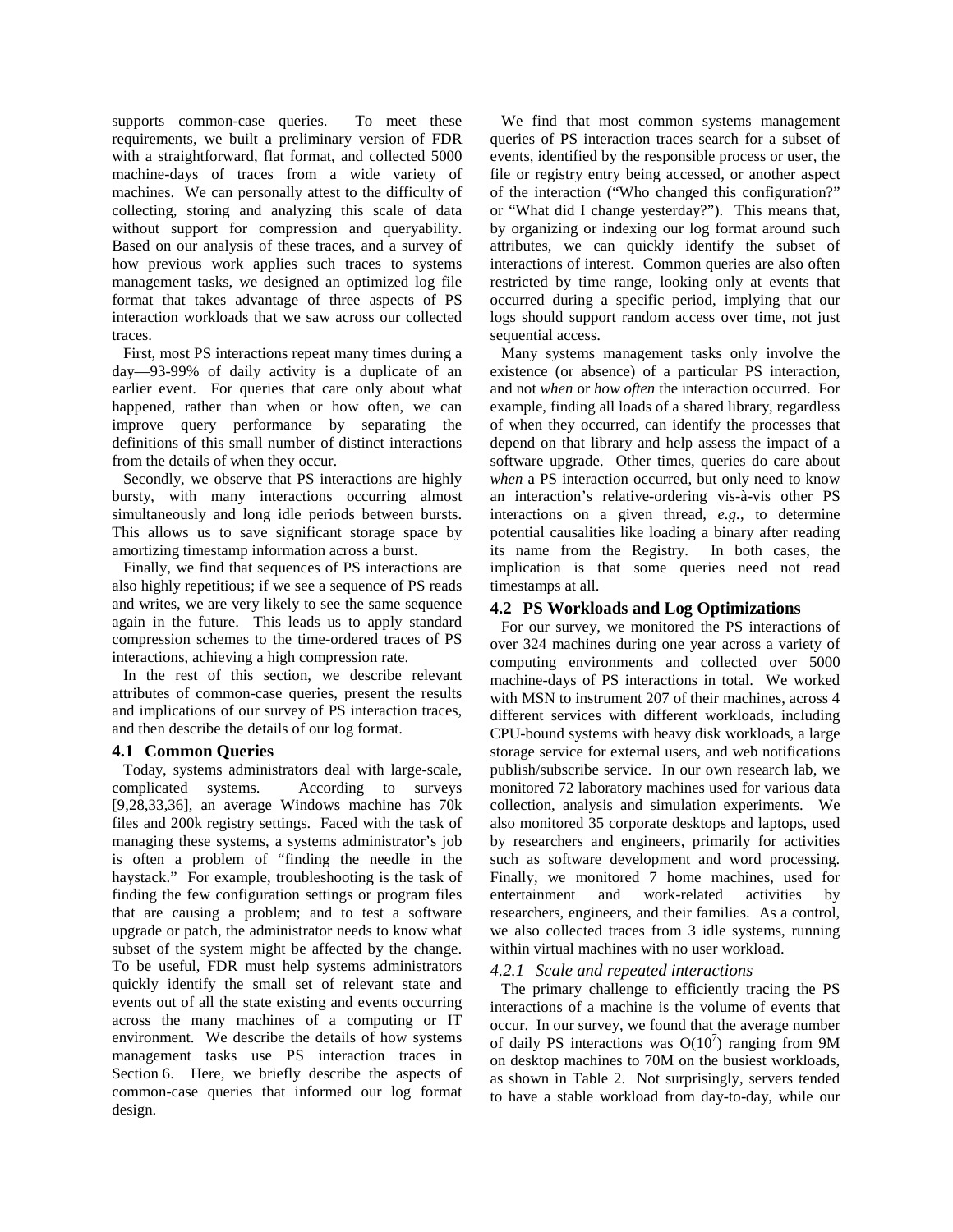supports common-case queries. To meet these requirements, we built a preliminary version of FDR with a straightforward, flat format, and collected 5000 machine-days of traces from a wide variety of machines. We can personally attest to the difficulty of collecting, storing and analyzing this scale of data without support for compression and queryability. Based on our analysis of these traces, and a survey of how previous work applies such traces to systems management tasks, we designed an optimized log file format that takes advantage of three aspects of PS interaction workloads that we saw across our collected traces.

First, most PS interactions repeat many times during a day—93-99% of daily activity is a duplicate of an earlier event. For queries that care only about what happened, rather than when or how often, we can improve query performance by separating the definitions of this small number of distinct interactions from the details of when they occur.

Secondly, we observe that PS interactions are highly bursty, with many interactions occurring almost simultaneously and long idle periods between bursts. This allows us to save significant storage space by amortizing timestamp information across a burst.

Finally, we find that sequences of PS interactions are also highly repetitious; if we see a sequence of PS reads and writes, we are very likely to see the same sequence again in the future. This leads us to apply standard compression schemes to the time-ordered traces of PS interactions, achieving a high compression rate.

In the rest of this section, we describe relevant attributes of common-case queries, present the results and implications of our survey of PS interaction traces, and then describe the details of our log format.

# **4.1 Common Queries**

Today, systems administrators deal with large-scale, complicated systems. According to surveys [9,28,33,36], an average Windows machine has 70k files and 200k registry settings. Faced with the task of managing these systems, a systems administrator's job is often a problem of "finding the needle in the haystack." For example, troubleshooting is the task of finding the few configuration settings or program files that are causing a problem; and to test a software upgrade or patch, the administrator needs to know what subset of the system might be affected by the change. To be useful, FDR must help systems administrators quickly identify the small set of relevant state and events out of all the state existing and events occurring across the many machines of a computing or IT environment. We describe the details of how systems management tasks use PS interaction traces in Section 6. Here, we briefly describe the aspects of common-case queries that informed our log format design.

We find that most common systems management queries of PS interaction traces search for a subset of events, identified by the responsible process or user, the file or registry entry being accessed, or another aspect of the interaction ("Who changed this configuration?" or "What did I change yesterday?"). This means that, by organizing or indexing our log format around such attributes, we can quickly identify the subset of interactions of interest. Common queries are also often restricted by time range, looking only at events that occurred during a specific period, implying that our logs should support random access over time, not just sequential access.

Many systems management tasks only involve the existence (or absence) of a particular PS interaction, and not *when* or *how often* the interaction occurred. For example, finding all loads of a shared library, regardless of when they occurred, can identify the processes that depend on that library and help assess the impact of a software upgrade. Other times, queries do care about *when* a PS interaction occurred, but only need to know an interaction's relative-ordering vis-à-vis other PS interactions on a given thread, *e.g.*, to determine potential causalities like loading a binary after reading its name from the Registry. In both cases, the implication is that some queries need not read timestamps at all.

# **4.2 PS Workloads and Log Optimizations**

For our survey, we monitored the PS interactions of over 324 machines during one year across a variety of computing environments and collected over 5000 machine-days of PS interactions in total. We worked with MSN to instrument 207 of their machines, across 4 different services with different workloads, including CPU-bound systems with heavy disk workloads, a large storage service for external users, and web notifications publish/subscribe service. In our own research lab, we monitored 72 laboratory machines used for various data collection, analysis and simulation experiments. We also monitored 35 corporate desktops and laptops, used by researchers and engineers, primarily for activities such as software development and word processing. Finally, we monitored 7 home machines, used for entertainment and work-related activities by researchers, engineers, and their families. As a control, we also collected traces from 3 idle systems, running within virtual machines with no user workload.

# *4.2.1 Scale and repeated interactions*

The primary challenge to efficiently tracing the PS interactions of a machine is the volume of events that occur. In our survey, we found that the average number of daily PS interactions was  $O(10^7)$  ranging from 9M on desktop machines to 70M on the busiest workloads, as shown in Table 2. Not surprisingly, servers tended to have a stable workload from day-to-day, while our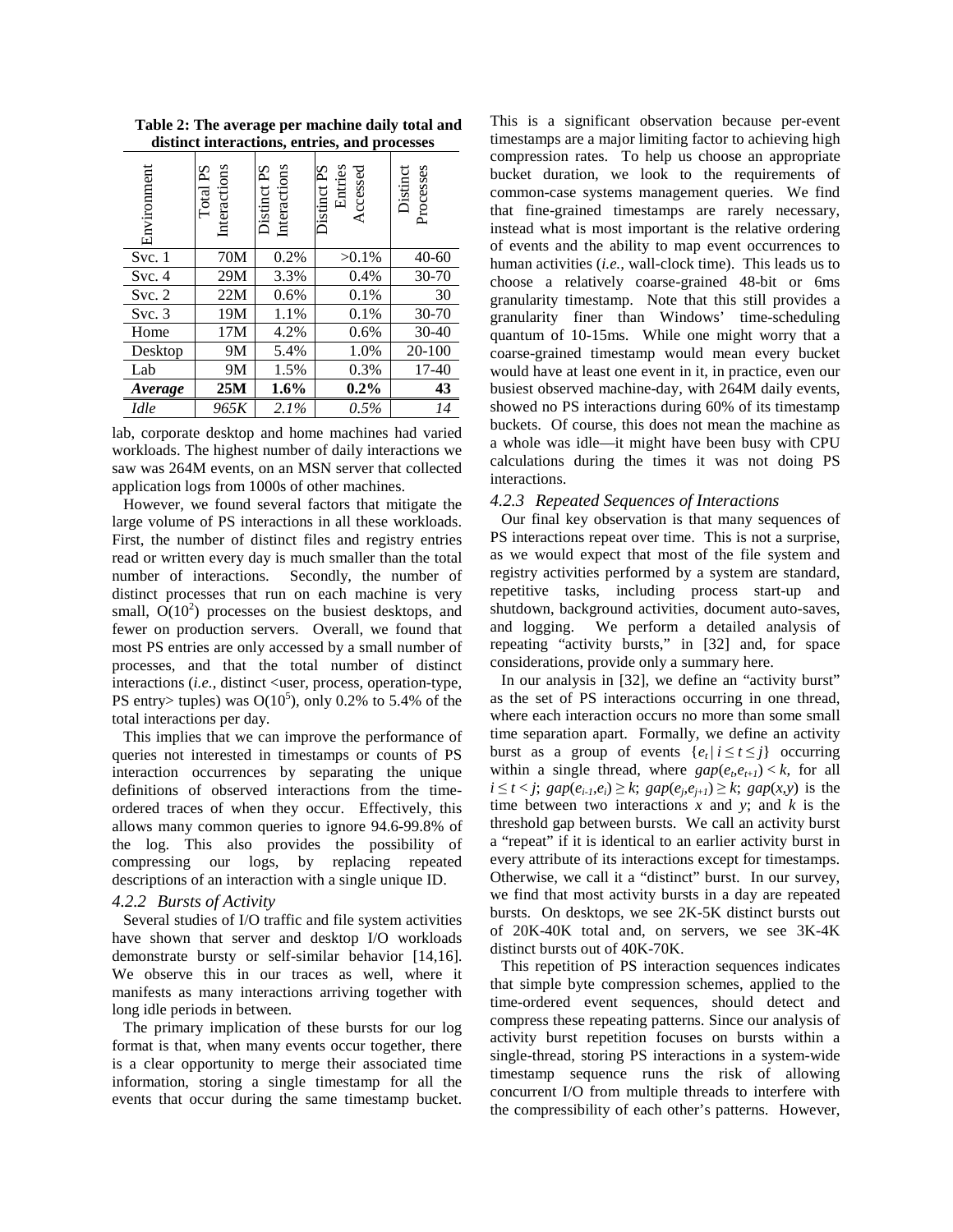**Table 2: The average per machine daily total and distinct interactions, entries, and processes**

| Environment | Interactions<br>Total PS | Interactions<br>Distinct PS | Distinct PS<br>Entries<br>Accessed | Distinct<br>Processes |
|-------------|--------------------------|-----------------------------|------------------------------------|-----------------------|
| Svc.1       | 70M                      | 0.2%                        | $>0.1\%$                           | $40 - 60$             |
| Svc.4       | 29M                      | 3.3%                        | 0.4%                               | 30-70                 |
| Svc. 2      | 22M                      | 0.6%                        | 0.1%                               | 30                    |
| Svc.3       | 19M                      | 1.1%                        | 0.1%                               | $30 - 70$             |
| Home        | 17M                      | 4.2%                        | 0.6%                               | $30 - 40$             |
| Desktop     | 9M                       | 5.4%                        | 1.0%                               | 20-100                |
| Lab         | 9M                       | 1.5%                        | 0.3%                               | 17-40                 |
| Average     | 25M                      | 1.6%                        | $0.2\%$                            | 43                    |
| <b>Idle</b> | 965K                     | 2.1%                        | 0.5%                               | 14                    |

lab, corporate desktop and home machines had varied workloads. The highest number of daily interactions we saw was 264M events, on an MSN server that collected application logs from 1000s of other machines.

However, we found several factors that mitigate the large volume of PS interactions in all these workloads. First, the number of distinct files and registry entries read or written every day is much smaller than the total number of interactions. Secondly, the number of distinct processes that run on each machine is very small,  $O(10^2)$  processes on the busiest desktops, and fewer on production servers. Overall, we found that most PS entries are only accessed by a small number of processes, and that the total number of distinct interactions (*i.e.*, distinct <user, process, operation-type, PS entry> tuples) was  $O(10^5)$ , only 0.2% to 5.4% of the total interactions per day.

This implies that we can improve the performance of queries not interested in timestamps or counts of PS interaction occurrences by separating the unique definitions of observed interactions from the timeordered traces of when they occur. Effectively, this allows many common queries to ignore 94.6-99.8% of the log. This also provides the possibility of compressing our logs, by replacing repeated descriptions of an interaction with a single unique ID.

## *4.2.2 Bursts of Activity*

Several studies of I/O traffic and file system activities have shown that server and desktop I/O workloads demonstrate bursty or self-similar behavior [14,16]. We observe this in our traces as well, where it manifests as many interactions arriving together with long idle periods in between.

The primary implication of these bursts for our log format is that, when many events occur together, there is a clear opportunity to merge their associated time information, storing a single timestamp for all the events that occur during the same timestamp bucket.

This is a significant observation because per-event timestamps are a major limiting factor to achieving high compression rates. To help us choose an appropriate bucket duration, we look to the requirements of common-case systems management queries. We find that fine-grained timestamps are rarely necessary, instead what is most important is the relative ordering of events and the ability to map event occurrences to human activities (*i.e.,* wall-clock time). This leads us to choose a relatively coarse-grained 48-bit or 6ms granularity timestamp. Note that this still provides a granularity finer than Windows' time-scheduling quantum of 10-15ms. While one might worry that a coarse-grained timestamp would mean every bucket would have at least one event in it, in practice, even our busiest observed machine-day, with 264M daily events, showed no PS interactions during 60% of its timestamp buckets. Of course, this does not mean the machine as a whole was idle—it might have been busy with CPU calculations during the times it was not doing PS interactions.

#### *4.2.3 Repeated Sequences of Interactions*

Our final key observation is that many sequences of PS interactions repeat over time. This is not a surprise, as we would expect that most of the file system and registry activities performed by a system are standard, repetitive tasks, including process start-up and shutdown, background activities, document auto-saves, and logging. We perform a detailed analysis of repeating "activity bursts," in [32] and, for space considerations, provide only a summary here.

In our analysis in [32], we define an "activity burst" as the set of PS interactions occurring in one thread, where each interaction occurs no more than some small time separation apart. Formally, we define an activity burst as a group of events  $\{e_t | i \le t \le j\}$  occurring within a single thread, where  $gap(e_t, e_{t+1}) < k$ , for all *i* ≤ *t* < *j*; *gap*( $e_{i-1}$ , $e_i$ ) ≥ *k*; *gap*( $e_j$ , $e_{j+1}$ ) ≥ *k*; *gap*(*x*,*y*) is the time between two interactions *x* and *y*; and *k* is the threshold gap between bursts. We call an activity burst a "repeat" if it is identical to an earlier activity burst in every attribute of its interactions except for timestamps. Otherwise, we call it a "distinct" burst. In our survey, we find that most activity bursts in a day are repeated bursts. On desktops, we see 2K-5K distinct bursts out of 20K-40K total and, on servers, we see 3K-4K distinct bursts out of 40K-70K.

This repetition of PS interaction sequences indicates that simple byte compression schemes, applied to the time-ordered event sequences, should detect and compress these repeating patterns. Since our analysis of activity burst repetition focuses on bursts within a single-thread, storing PS interactions in a system-wide timestamp sequence runs the risk of allowing concurrent I/O from multiple threads to interfere with the compressibility of each other's patterns. However,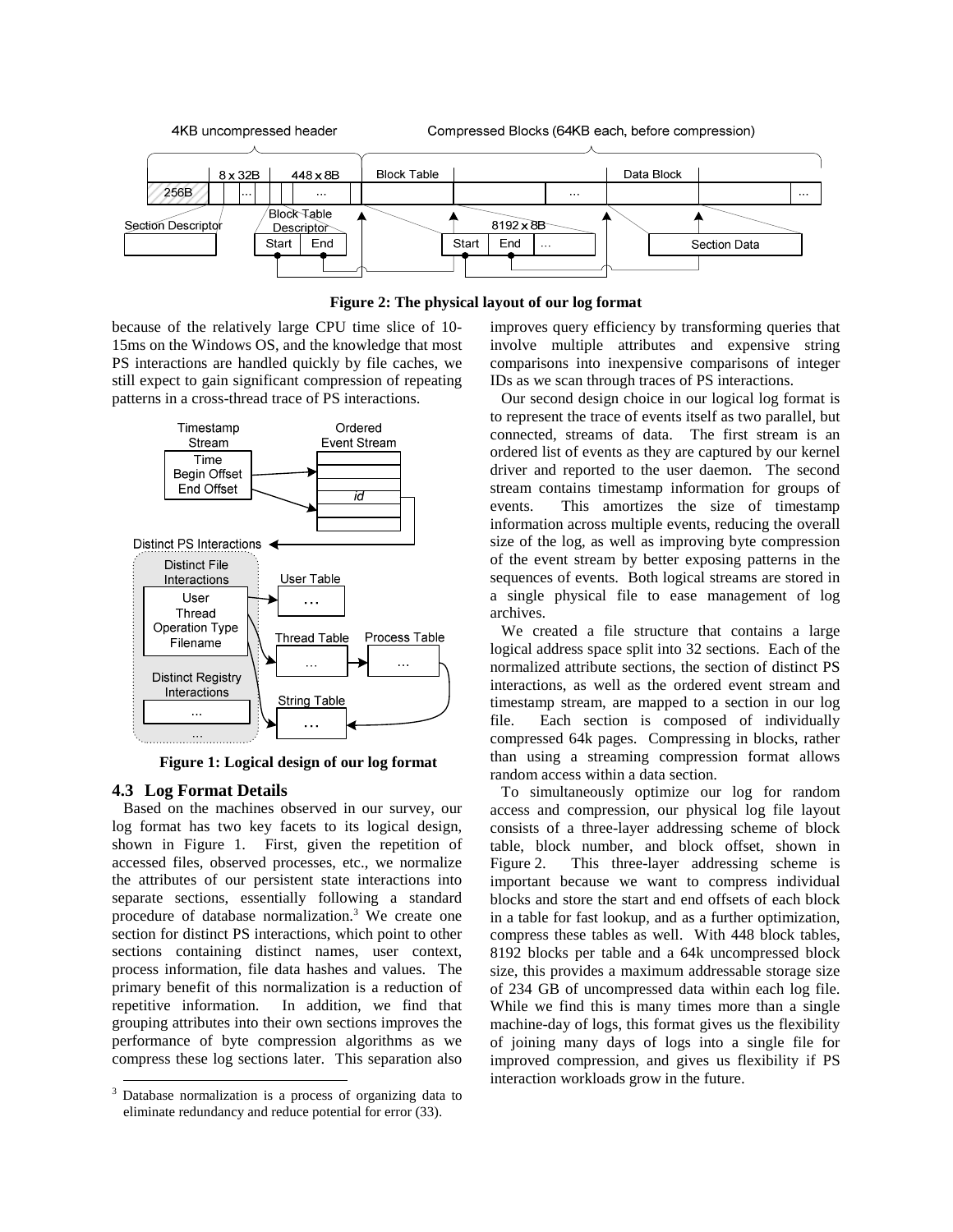



because of the relatively large CPU time slice of 10- 15ms on the Windows OS, and the knowledge that most PS interactions are handled quickly by file caches, we still expect to gain significant compression of repeating patterns in a cross-thread trace of PS interactions.



**Figure 1: Logical design of our log format**

# **4.3 Log Format Details**

Based on the machines observed in our survey, our log format has two key facets to its logical design, shown in Figure 1. First, given the repetition of accessed files, observed processes, etc., we normalize the attributes of our persistent state interactions into separate sections, essentially following a standard procedure of database normalization.<sup>3</sup> We create one section for distinct PS interactions, which point to other sections containing distinct names, user context, process information, file data hashes and values. The primary benefit of this normalization is a reduction of repetitive information. In addition, we find that grouping attributes into their own sections improves the performance of byte compression algorithms as we compress these log sections later. This separation also

improves query efficiency by transforming queries that involve multiple attributes and expensive string comparisons into inexpensive comparisons of integer IDs as we scan through traces of PS interactions.

Our second design choice in our logical log format is to represent the trace of events itself as two parallel, but connected, streams of data. The first stream is an ordered list of events as they are captured by our kernel driver and reported to the user daemon. The second stream contains timestamp information for groups of events. This amortizes the size of timestamp information across multiple events, reducing the overall size of the log, as well as improving byte compression of the event stream by better exposing patterns in the sequences of events. Both logical streams are stored in a single physical file to ease management of log archives.

We created a file structure that contains a large logical address space split into 32 sections. Each of the normalized attribute sections, the section of distinct PS interactions, as well as the ordered event stream and timestamp stream, are mapped to a section in our log file. Each section is composed of individually compressed 64k pages. Compressing in blocks, rather than using a streaming compression format allows random access within a data section.

To simultaneously optimize our log for random access and compression, our physical log file layout consists of a three-layer addressing scheme of block table, block number, and block offset, shown in Figure 2. This three-layer addressing scheme is important because we want to compress individual blocks and store the start and end offsets of each block in a table for fast lookup, and as a further optimization, compress these tables as well. With 448 block tables, 8192 blocks per table and a 64k uncompressed block size, this provides a maximum addressable storage size of 234 GB of uncompressed data within each log file. While we find this is many times more than a single machine-day of logs, this format gives us the flexibility of joining many days of logs into a single file for improved compression, and gives us flexibility if PS interaction workloads grow in the future.

<sup>&</sup>lt;sup>3</sup> Database normalization is a process of organizing data to eliminate redundancy and reduce potential for error (33).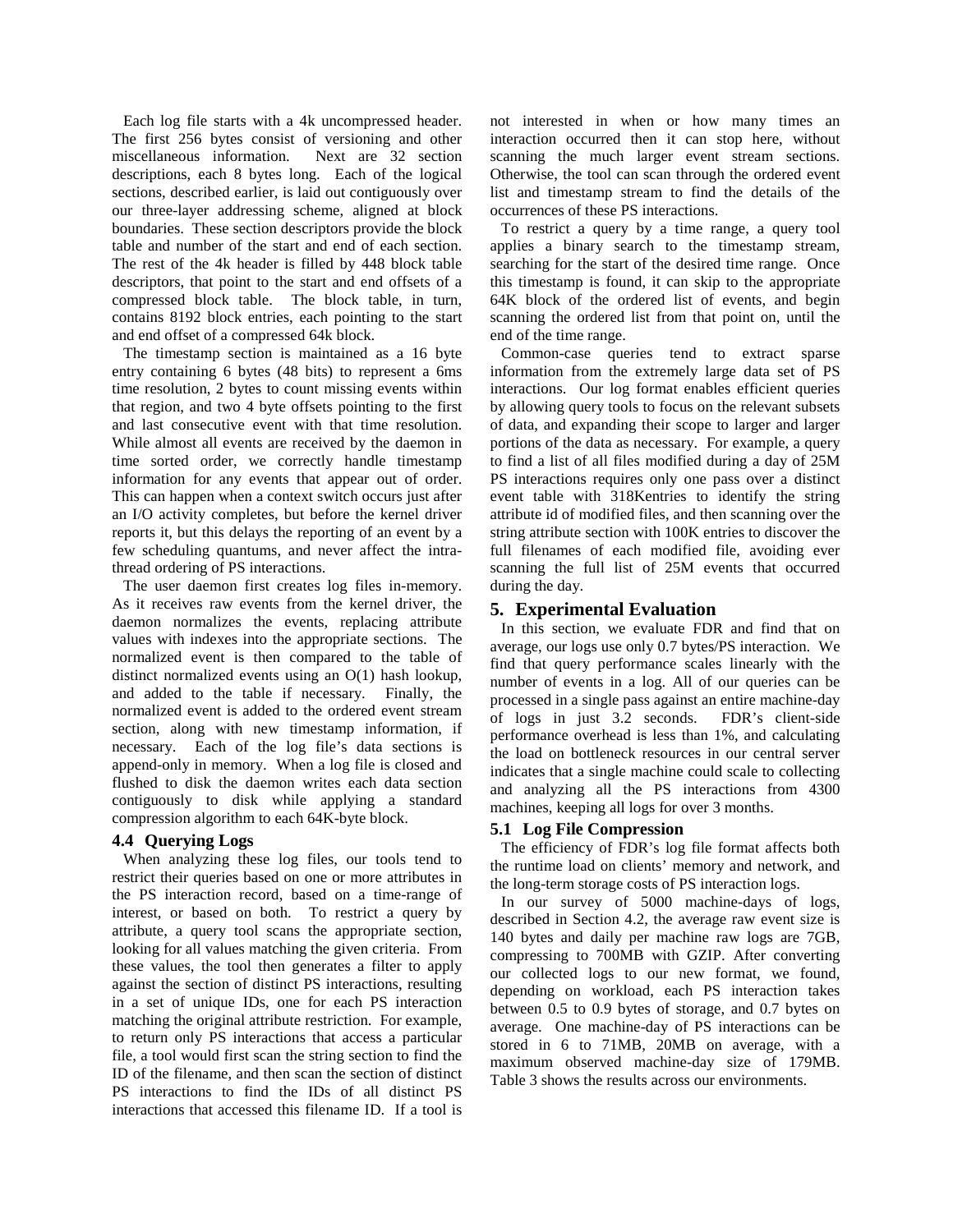Each log file starts with a 4k uncompressed header. The first 256 bytes consist of versioning and other miscellaneous information. Next are 32 section descriptions, each 8 bytes long. Each of the logical sections, described earlier, is laid out contiguously over our three-layer addressing scheme, aligned at block boundaries. These section descriptors provide the block table and number of the start and end of each section. The rest of the 4k header is filled by 448 block table descriptors, that point to the start and end offsets of a compressed block table. The block table, in turn, contains 8192 block entries, each pointing to the start and end offset of a compressed 64k block.

The timestamp section is maintained as a 16 byte entry containing 6 bytes (48 bits) to represent a 6ms time resolution, 2 bytes to count missing events within that region, and two 4 byte offsets pointing to the first and last consecutive event with that time resolution. While almost all events are received by the daemon in time sorted order, we correctly handle timestamp information for any events that appear out of order. This can happen when a context switch occurs just after an I/O activity completes, but before the kernel driver reports it, but this delays the reporting of an event by a few scheduling quantums, and never affect the intrathread ordering of PS interactions.

The user daemon first creates log files in-memory. As it receives raw events from the kernel driver, the daemon normalizes the events, replacing attribute values with indexes into the appropriate sections. The normalized event is then compared to the table of distinct normalized events using an O(1) hash lookup, and added to the table if necessary. Finally, the normalized event is added to the ordered event stream section, along with new timestamp information, if necessary. Each of the log file's data sections is append-only in memory. When a log file is closed and flushed to disk the daemon writes each data section contiguously to disk while applying a standard compression algorithm to each 64K-byte block.

# **4.4 Querying Logs**

When analyzing these log files, our tools tend to restrict their queries based on one or more attributes in the PS interaction record, based on a time-range of interest, or based on both. To restrict a query by attribute, a query tool scans the appropriate section, looking for all values matching the given criteria. From these values, the tool then generates a filter to apply against the section of distinct PS interactions, resulting in a set of unique IDs, one for each PS interaction matching the original attribute restriction. For example, to return only PS interactions that access a particular file, a tool would first scan the string section to find the ID of the filename, and then scan the section of distinct PS interactions to find the IDs of all distinct PS interactions that accessed this filename ID. If a tool is

not interested in when or how many times an interaction occurred then it can stop here, without scanning the much larger event stream sections. Otherwise, the tool can scan through the ordered event list and timestamp stream to find the details of the occurrences of these PS interactions.

To restrict a query by a time range, a query tool applies a binary search to the timestamp stream, searching for the start of the desired time range. Once this timestamp is found, it can skip to the appropriate 64K block of the ordered list of events, and begin scanning the ordered list from that point on, until the end of the time range.

Common-case queries tend to extract sparse information from the extremely large data set of PS interactions. Our log format enables efficient queries by allowing query tools to focus on the relevant subsets of data, and expanding their scope to larger and larger portions of the data as necessary. For example, a query to find a list of all files modified during a day of 25M PS interactions requires only one pass over a distinct event table with 318Kentries to identify the string attribute id of modified files, and then scanning over the string attribute section with 100K entries to discover the full filenames of each modified file, avoiding ever scanning the full list of 25M events that occurred during the day.

# **5. Experimental Evaluation**

In this section, we evaluate FDR and find that on average, our logs use only 0.7 bytes/PS interaction. We find that query performance scales linearly with the number of events in a log. All of our queries can be processed in a single pass against an entire machine-day of logs in just 3.2 seconds. FDR's client-side performance overhead is less than 1%, and calculating the load on bottleneck resources in our central server indicates that a single machine could scale to collecting and analyzing all the PS interactions from 4300 machines, keeping all logs for over 3 months.

# **5.1 Log File Compression**

The efficiency of FDR's log file format affects both the runtime load on clients' memory and network, and the long-term storage costs of PS interaction logs.

In our survey of 5000 machine-days of logs, described in Section 4.2, the average raw event size is 140 bytes and daily per machine raw logs are 7GB, compressing to 700MB with GZIP. After converting our collected logs to our new format, we found, depending on workload, each PS interaction takes between 0.5 to 0.9 bytes of storage, and 0.7 bytes on average. One machine-day of PS interactions can be stored in 6 to 71MB, 20MB on average, with a maximum observed machine-day size of 179MB. Table 3 shows the results across our environments.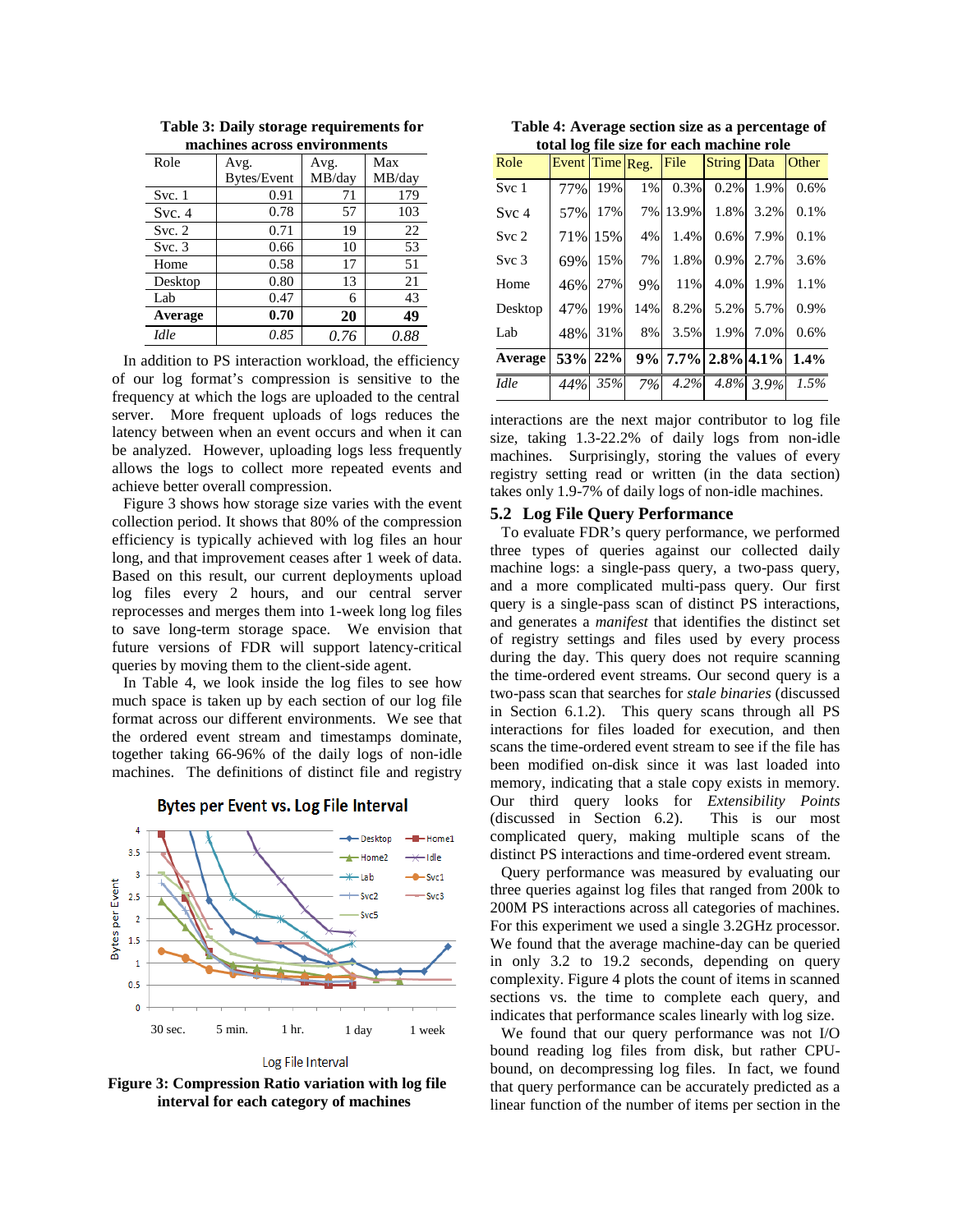| Role    | Avg.        | Avg.   | Max    |  |
|---------|-------------|--------|--------|--|
|         | Bytes/Event | MB/day | MB/day |  |
| Svc.1   | 0.91        | 71     | 179    |  |
| Svc.4   | 0.78        | 57     | 103    |  |
| Svc. 2  | 0.71        | 19     | 22     |  |
| Svc.3   | 0.66        | 10     | 53     |  |
| Home    | 0.58        | 17     | 51     |  |
| Desktop | 0.80        | 13     | 21     |  |
| Lab     | 0.47        | 6      | 43     |  |
| Average | 0.70        | 20     | 49     |  |
| Idle    | 0.85        | 0.76   | 0.88   |  |

**Table 3: Daily storage requirements for machines across environments** 

In addition to PS interaction workload, the efficiency of our log format's compression is sensitive to the frequency at which the logs are uploaded to the central server. More frequent uploads of logs reduces the latency between when an event occurs and when it can be analyzed. However, uploading logs less frequently allows the logs to collect more repeated events and achieve better overall compression.

Figure 3 shows how storage size varies with the event collection period. It shows that 80% of the compression efficiency is typically achieved with log files an hour long, and that improvement ceases after 1 week of data. Based on this result, our current deployments upload log files every 2 hours, and our central server reprocesses and merges them into 1-week long log files to save long-term storage space. We envision that future versions of FDR will support latency-critical queries by moving them to the client-side agent.

In Table 4, we look inside the log files to see how much space is taken up by each section of our log file format across our different environments. We see that the ordered event stream and timestamps dominate, together taking 66-96% of the daily logs of non-idle machines. The definitions of distinct file and registry

 $\overline{4}$ - Deskton  $H$  Homel  $3.5$  $+$ Home2 مااتا کد  $\overline{\mathbf{3}}$ -lab  $-$  Svc1 **Sytes per Event**  $2.5$ Sur 2 Svc3 Svc5  $\overline{2}$  $1.5$  $\overline{1}$  $0.5$  $\theta$ 30 sec. 5 min. 1 hr. 1 day 1 week

**Bytes per Event vs. Log File Interval** 

Log File Interval

**Figure 3: Compression Ratio variation with log file interval for each category of machines**

**Table 4: Average section size as a percentage of total log file size for each machine role** 

| Role             | Event Time Reg. |         |       | File    | <b>String Data</b>   |           | Other |
|------------------|-----------------|---------|-------|---------|----------------------|-----------|-------|
| Svc 1            | 77%             | 19%     | $1\%$ | 0.3%    | 0.2%                 | 1.9%      | 0.6%  |
| Svc 4            | 57%             | 17%     | 7%    | 13.9%   | 1.8%                 | 3.2%      | 0.1%  |
| Svc <sub>2</sub> |                 | 71% 15% | 4%    | 1.4%    | 0.6%                 | 7.9%      | 0.1%  |
| Svc <sub>3</sub> | 69%             | 15%     | 7%    | 1.8%    | 0.9%                 | 2.7%      | 3.6%  |
| Home             | 46%             | 27%     | 9%    | 11%     | 4.0%                 | 1.9%      | 1.1%  |
| Desktop          | 47%             | 19%     | 14%   | 8.2%    | 5.2%                 | 5.7%      | 0.9%  |
| Lab              | 48%             | 31%     | 8%    | 3.5%    | 1.9%                 | 7.0%      | 0.6%  |
| Average          |                 | 53% 22% |       |         | $9\%$ 7.7% 2.8% 4.1% |           | 1.4%  |
| Idle             | 44%             | 35%     | 7%    | $4.2\%$ |                      | 4.8% 3.9% | 1.5%  |

interactions are the next major contributor to log file size, taking 1.3-22.2% of daily logs from non-idle machines. Surprisingly, storing the values of every registry setting read or written (in the data section) takes only 1.9-7% of daily logs of non-idle machines.

## **5.2 Log File Query Performance**

To evaluate FDR's query performance, we performed three types of queries against our collected daily machine logs: a single-pass query, a two-pass query, and a more complicated multi-pass query. Our first query is a single-pass scan of distinct PS interactions, and generates a *manifest* that identifies the distinct set of registry settings and files used by every process during the day. This query does not require scanning the time-ordered event streams. Our second query is a two-pass scan that searches for *stale binaries* (discussed in Section 6.1.2). This query scans through all PS interactions for files loaded for execution, and then scans the time-ordered event stream to see if the file has been modified on-disk since it was last loaded into memory, indicating that a stale copy exists in memory. Our third query looks for *Extensibility Points* (discussed in Section 6.2). This is our most complicated query, making multiple scans of the distinct PS interactions and time-ordered event stream.

Query performance was measured by evaluating our three queries against log files that ranged from 200k to 200M PS interactions across all categories of machines. For this experiment we used a single 3.2GHz processor. We found that the average machine-day can be queried in only 3.2 to 19.2 seconds, depending on query complexity. Figure 4 plots the count of items in scanned sections vs. the time to complete each query, and indicates that performance scales linearly with log size.

We found that our query performance was not I/O bound reading log files from disk, but rather CPUbound, on decompressing log files. In fact, we found that query performance can be accurately predicted as a linear function of the number of items per section in the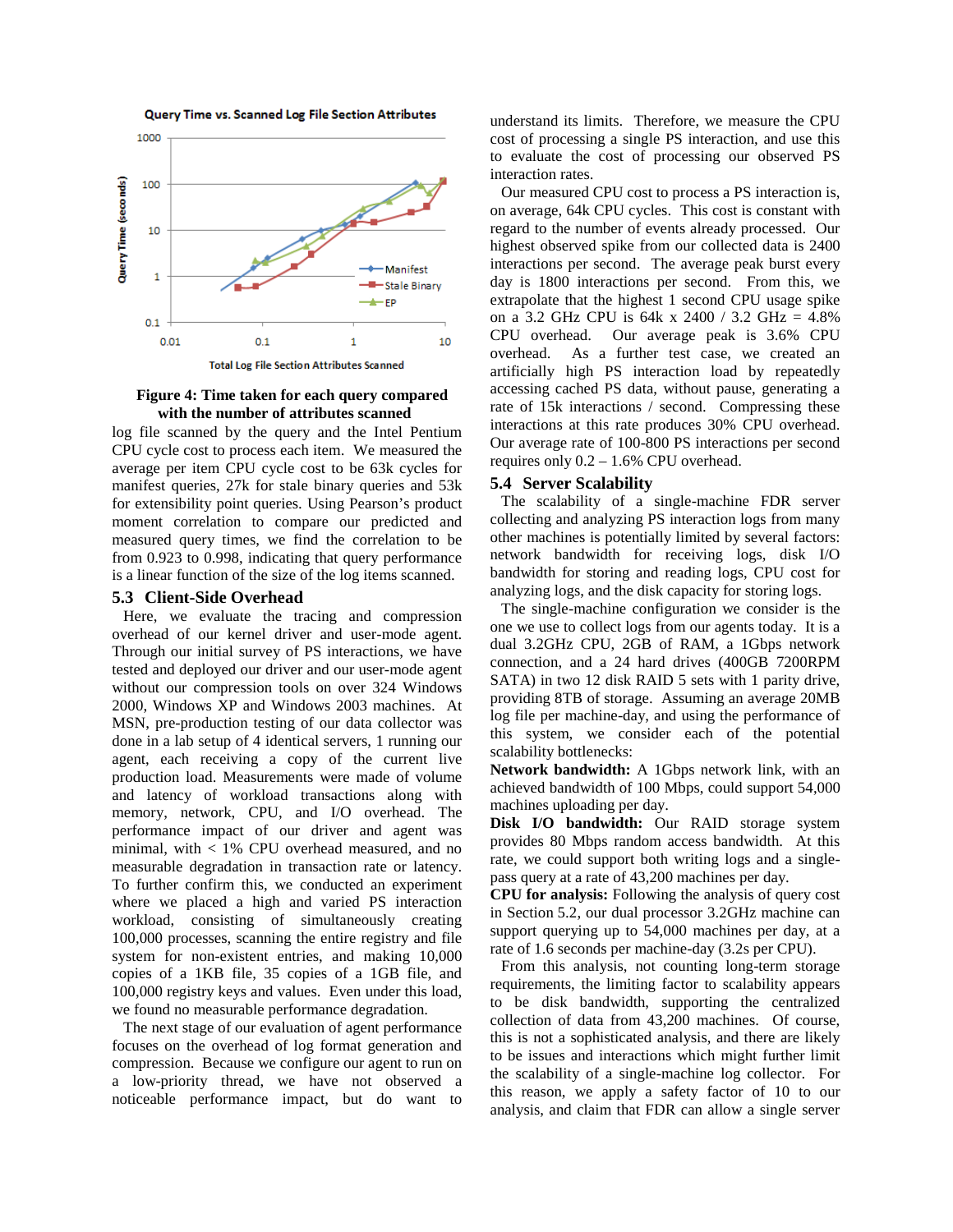



 **Figure 4: Time taken for each query compared with the number of attributes scanned** 

log file scanned by the query and the Intel Pentium CPU cycle cost to process each item. We measured the average per item CPU cycle cost to be 63k cycles for manifest queries, 27k for stale binary queries and 53k for extensibility point queries. Using Pearson's product moment correlation to compare our predicted and measured query times, we find the correlation to be from 0.923 to 0.998, indicating that query performance is a linear function of the size of the log items scanned.

#### **5.3 Client-Side Overhead**

Here, we evaluate the tracing and compression overhead of our kernel driver and user-mode agent. Through our initial survey of PS interactions, we have tested and deployed our driver and our user-mode agent without our compression tools on over 324 Windows 2000, Windows XP and Windows 2003 machines. At MSN, pre-production testing of our data collector was done in a lab setup of 4 identical servers, 1 running our agent, each receiving a copy of the current live production load. Measurements were made of volume and latency of workload transactions along with memory, network, CPU, and I/O overhead. The performance impact of our driver and agent was minimal, with < 1% CPU overhead measured, and no measurable degradation in transaction rate or latency. To further confirm this, we conducted an experiment where we placed a high and varied PS interaction workload, consisting of simultaneously creating 100,000 processes, scanning the entire registry and file system for non-existent entries, and making 10,000 copies of a 1KB file, 35 copies of a 1GB file, and 100,000 registry keys and values. Even under this load, we found no measurable performance degradation.

The next stage of our evaluation of agent performance focuses on the overhead of log format generation and compression. Because we configure our agent to run on a low-priority thread, we have not observed a noticeable performance impact, but do want to

understand its limits. Therefore, we measure the CPU cost of processing a single PS interaction, and use this to evaluate the cost of processing our observed PS interaction rates.

Our measured CPU cost to process a PS interaction is, on average, 64k CPU cycles. This cost is constant with regard to the number of events already processed. Our highest observed spike from our collected data is 2400 interactions per second. The average peak burst every day is 1800 interactions per second. From this, we extrapolate that the highest 1 second CPU usage spike on a 3.2 GHz CPU is 64k x 2400 / 3.2 GHz = 4.8% CPU overhead. Our average peak is 3.6% CPU overhead. As a further test case, we created an artificially high PS interaction load by repeatedly accessing cached PS data, without pause, generating a rate of 15k interactions / second. Compressing these interactions at this rate produces 30% CPU overhead. Our average rate of 100-800 PS interactions per second requires only 0.2 – 1.6% CPU overhead.

## **5.4 Server Scalability**

The scalability of a single-machine FDR server collecting and analyzing PS interaction logs from many other machines is potentially limited by several factors: network bandwidth for receiving logs, disk I/O bandwidth for storing and reading logs, CPU cost for analyzing logs, and the disk capacity for storing logs.

The single-machine configuration we consider is the one we use to collect logs from our agents today. It is a dual 3.2GHz CPU, 2GB of RAM, a 1Gbps network connection, and a 24 hard drives (400GB 7200RPM SATA) in two 12 disk RAID 5 sets with 1 parity drive, providing 8TB of storage. Assuming an average 20MB log file per machine-day, and using the performance of this system, we consider each of the potential scalability bottlenecks:

**Network bandwidth:** A 1Gbps network link, with an achieved bandwidth of 100 Mbps, could support 54,000 machines uploading per day.

**Disk I/O bandwidth:** Our RAID storage system provides 80 Mbps random access bandwidth. At this rate, we could support both writing logs and a singlepass query at a rate of 43,200 machines per day.

**CPU for analysis:** Following the analysis of query cost in Section 5.2, our dual processor 3.2GHz machine can support querying up to 54,000 machines per day, at a rate of 1.6 seconds per machine-day (3.2s per CPU).

From this analysis, not counting long-term storage requirements, the limiting factor to scalability appears to be disk bandwidth, supporting the centralized collection of data from 43,200 machines. Of course, this is not a sophisticated analysis, and there are likely to be issues and interactions which might further limit the scalability of a single-machine log collector. For this reason, we apply a safety factor of 10 to our analysis, and claim that FDR can allow a single server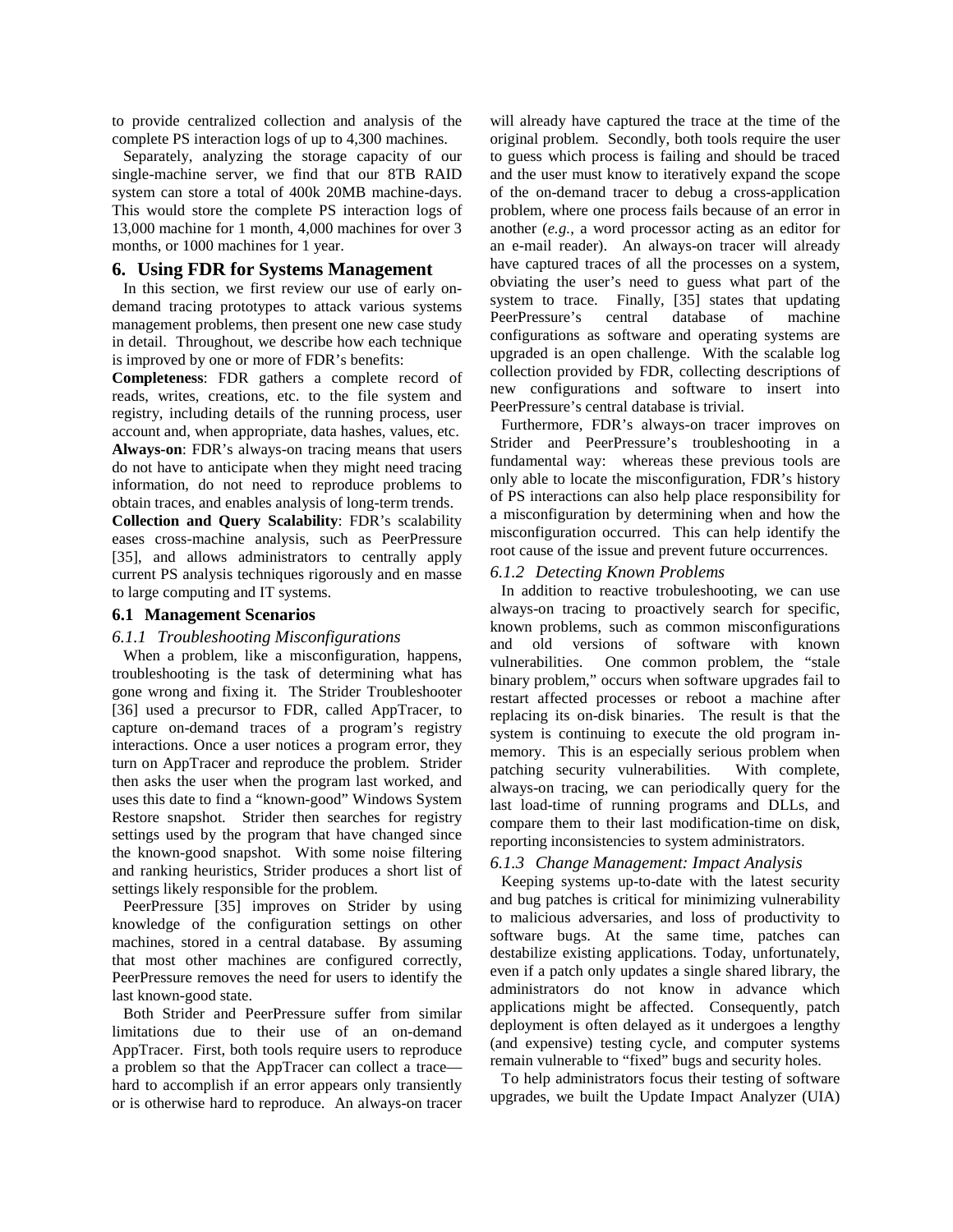to provide centralized collection and analysis of the complete PS interaction logs of up to 4,300 machines.

Separately, analyzing the storage capacity of our single-machine server, we find that our 8TB RAID system can store a total of 400k 20MB machine-days. This would store the complete PS interaction logs of 13,000 machine for 1 month, 4,000 machines for over 3 months, or 1000 machines for 1 year.

## **6. Using FDR for Systems Management**

In this section, we first review our use of early ondemand tracing prototypes to attack various systems management problems, then present one new case study in detail. Throughout, we describe how each technique is improved by one or more of FDR's benefits:

**Completeness**: FDR gathers a complete record of reads, writes, creations, etc. to the file system and registry, including details of the running process, user account and, when appropriate, data hashes, values, etc. **Always-on**: FDR's always-on tracing means that users do not have to anticipate when they might need tracing

information, do not need to reproduce problems to obtain traces, and enables analysis of long-term trends.

**Collection and Query Scalability**: FDR's scalability eases cross-machine analysis, such as PeerPressure [35], and allows administrators to centrally apply current PS analysis techniques rigorously and en masse to large computing and IT systems.

## **6.1 Management Scenarios**

#### *6.1.1 Troubleshooting Misconfigurations*

When a problem, like a misconfiguration, happens, troubleshooting is the task of determining what has gone wrong and fixing it. The Strider Troubleshooter [36] used a precursor to FDR, called AppTracer, to capture on-demand traces of a program's registry interactions. Once a user notices a program error, they turn on AppTracer and reproduce the problem. Strider then asks the user when the program last worked, and uses this date to find a "known-good" Windows System Restore snapshot. Strider then searches for registry settings used by the program that have changed since the known-good snapshot. With some noise filtering and ranking heuristics, Strider produces a short list of settings likely responsible for the problem.

PeerPressure [35] improves on Strider by using knowledge of the configuration settings on other machines, stored in a central database. By assuming that most other machines are configured correctly, PeerPressure removes the need for users to identify the last known-good state.

Both Strider and PeerPressure suffer from similar limitations due to their use of an on-demand AppTracer. First, both tools require users to reproduce a problem so that the AppTracer can collect a trace hard to accomplish if an error appears only transiently or is otherwise hard to reproduce. An always-on tracer will already have captured the trace at the time of the original problem. Secondly, both tools require the user to guess which process is failing and should be traced and the user must know to iteratively expand the scope of the on-demand tracer to debug a cross-application problem, where one process fails because of an error in another (*e.g.*, a word processor acting as an editor for an e-mail reader). An always-on tracer will already have captured traces of all the processes on a system, obviating the user's need to guess what part of the system to trace. Finally, [35] states that updating PeerPressure's central database of machine configurations as software and operating systems are upgraded is an open challenge. With the scalable log collection provided by FDR, collecting descriptions of new configurations and software to insert into PeerPressure's central database is trivial.

Furthermore, FDR's always-on tracer improves on Strider and PeerPressure's troubleshooting in a fundamental way: whereas these previous tools are only able to locate the misconfiguration, FDR's history of PS interactions can also help place responsibility for a misconfiguration by determining when and how the misconfiguration occurred. This can help identify the root cause of the issue and prevent future occurrences.

## *6.1.2 Detecting Known Problems*

In addition to reactive trobuleshooting, we can use always-on tracing to proactively search for specific, known problems, such as common misconfigurations and old versions of software with known vulnerabilities. One common problem, the "stale binary problem," occurs when software upgrades fail to restart affected processes or reboot a machine after replacing its on-disk binaries. The result is that the system is continuing to execute the old program inmemory. This is an especially serious problem when patching security vulnerabilities. With complete, always-on tracing, we can periodically query for the last load-time of running programs and DLLs, and compare them to their last modification-time on disk, reporting inconsistencies to system administrators.

#### *6.1.3 Change Management: Impact Analysis*

Keeping systems up-to-date with the latest security and bug patches is critical for minimizing vulnerability to malicious adversaries, and loss of productivity to software bugs. At the same time, patches can destabilize existing applications. Today, unfortunately, even if a patch only updates a single shared library, the administrators do not know in advance which applications might be affected. Consequently, patch deployment is often delayed as it undergoes a lengthy (and expensive) testing cycle, and computer systems remain vulnerable to "fixed" bugs and security holes.

To help administrators focus their testing of software upgrades, we built the Update Impact Analyzer (UIA)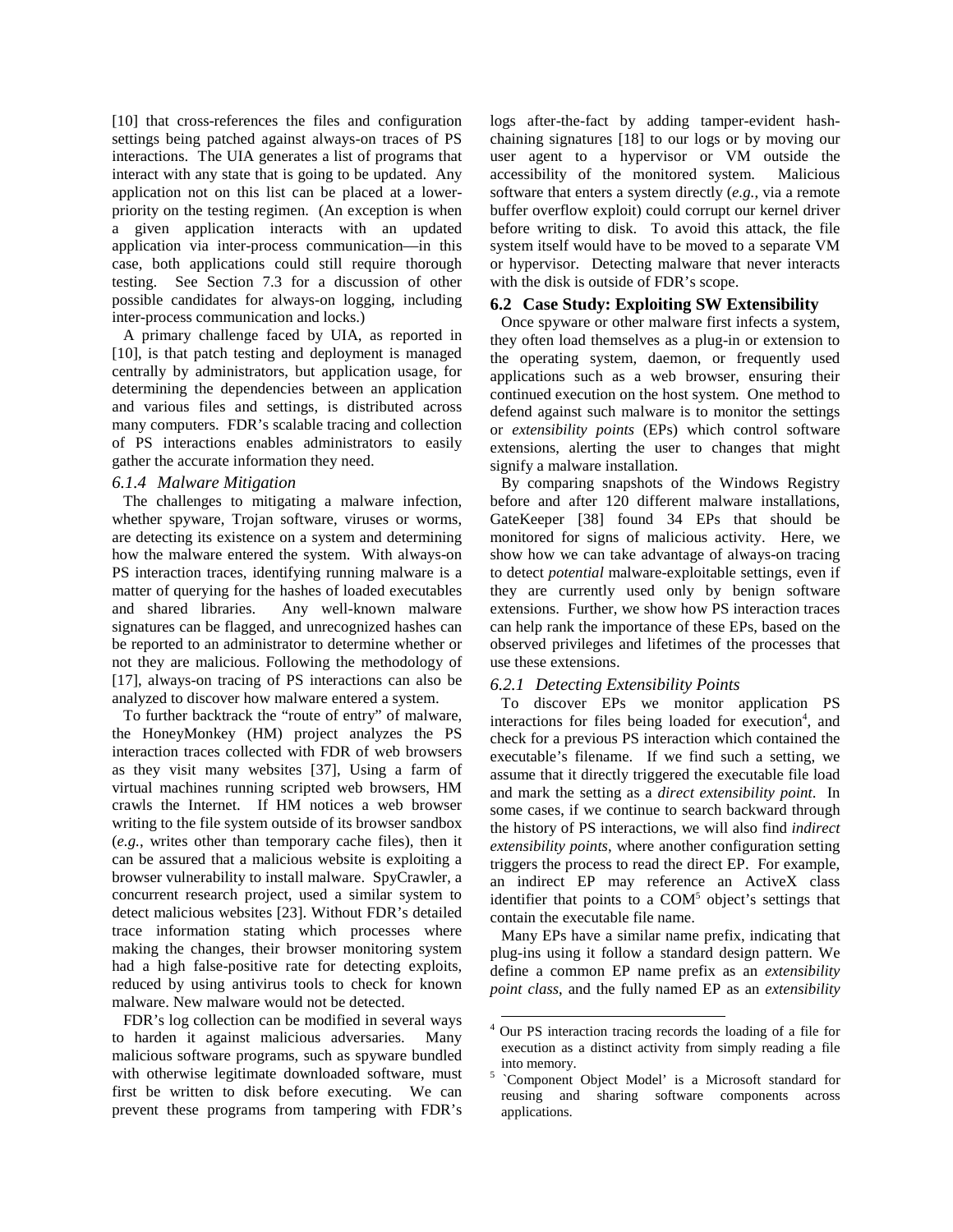[10] that cross-references the files and configuration settings being patched against always-on traces of PS interactions. The UIA generates a list of programs that interact with any state that is going to be updated. Any application not on this list can be placed at a lowerpriority on the testing regimen. (An exception is when a given application interacts with an updated application via inter-process communication—in this case, both applications could still require thorough testing. See Section 7.3 for a discussion of other possible candidates for always-on logging, including inter-process communication and locks.)

A primary challenge faced by UIA, as reported in [10], is that patch testing and deployment is managed centrally by administrators, but application usage, for determining the dependencies between an application and various files and settings, is distributed across many computers. FDR's scalable tracing and collection of PS interactions enables administrators to easily gather the accurate information they need.

## *6.1.4 Malware Mitigation*

The challenges to mitigating a malware infection, whether spyware, Trojan software, viruses or worms, are detecting its existence on a system and determining how the malware entered the system. With always-on PS interaction traces, identifying running malware is a matter of querying for the hashes of loaded executables and shared libraries. Any well-known malware signatures can be flagged, and unrecognized hashes can be reported to an administrator to determine whether or not they are malicious. Following the methodology of [17], always-on tracing of PS interactions can also be analyzed to discover how malware entered a system.

To further backtrack the "route of entry" of malware, the HoneyMonkey (HM) project analyzes the PS interaction traces collected with FDR of web browsers as they visit many websites [37], Using a farm of virtual machines running scripted web browsers, HM crawls the Internet. If HM notices a web browser writing to the file system outside of its browser sandbox (*e.g.*, writes other than temporary cache files), then it can be assured that a malicious website is exploiting a browser vulnerability to install malware. SpyCrawler, a concurrent research project, used a similar system to detect malicious websites [23]. Without FDR's detailed trace information stating which processes where making the changes, their browser monitoring system had a high false-positive rate for detecting exploits, reduced by using antivirus tools to check for known malware. New malware would not be detected.

FDR's log collection can be modified in several ways to harden it against malicious adversaries. Many malicious software programs, such as spyware bundled with otherwise legitimate downloaded software, must first be written to disk before executing. We can prevent these programs from tampering with FDR's logs after-the-fact by adding tamper-evident hashchaining signatures [18] to our logs or by moving our user agent to a hypervisor or VM outside the accessibility of the monitored system. Malicious software that enters a system directly (*e.g.*, via a remote buffer overflow exploit) could corrupt our kernel driver before writing to disk. To avoid this attack, the file system itself would have to be moved to a separate VM or hypervisor. Detecting malware that never interacts with the disk is outside of FDR's scope.

## **6.2 Case Study: Exploiting SW Extensibility**

Once spyware or other malware first infects a system, they often load themselves as a plug-in or extension to the operating system, daemon, or frequently used applications such as a web browser, ensuring their continued execution on the host system. One method to defend against such malware is to monitor the settings or *extensibility points* (EPs) which control software extensions, alerting the user to changes that might signify a malware installation.

By comparing snapshots of the Windows Registry before and after 120 different malware installations, GateKeeper [38] found 34 EPs that should be monitored for signs of malicious activity. Here, we show how we can take advantage of always-on tracing to detect *potential* malware-exploitable settings, even if they are currently used only by benign software extensions. Further, we show how PS interaction traces can help rank the importance of these EPs, based on the observed privileges and lifetimes of the processes that use these extensions.

# *6.2.1 Detecting Extensibility Points*

To discover EPs we monitor application PS interactions for files being loaded for execution<sup>4</sup>, and check for a previous PS interaction which contained the executable's filename. If we find such a setting, we assume that it directly triggered the executable file load and mark the setting as a *direct extensibility point*. In some cases, if we continue to search backward through the history of PS interactions, we will also find *indirect extensibility points*, where another configuration setting triggers the process to read the direct EP. For example, an indirect EP may reference an ActiveX class identifier that points to a COM<sup>5</sup> object's settings that contain the executable file name.

Many EPs have a similar name prefix, indicating that plug-ins using it follow a standard design pattern. We define a common EP name prefix as an *extensibility point class*, and the fully named EP as an *extensibility* 

 $\overline{a}$ 4 Our PS interaction tracing records the loading of a file for execution as a distinct activity from simply reading a file into memory.

<sup>&</sup>lt;sup>5</sup> `Component Object Model' is a Microsoft standard for reusing and sharing software components across applications.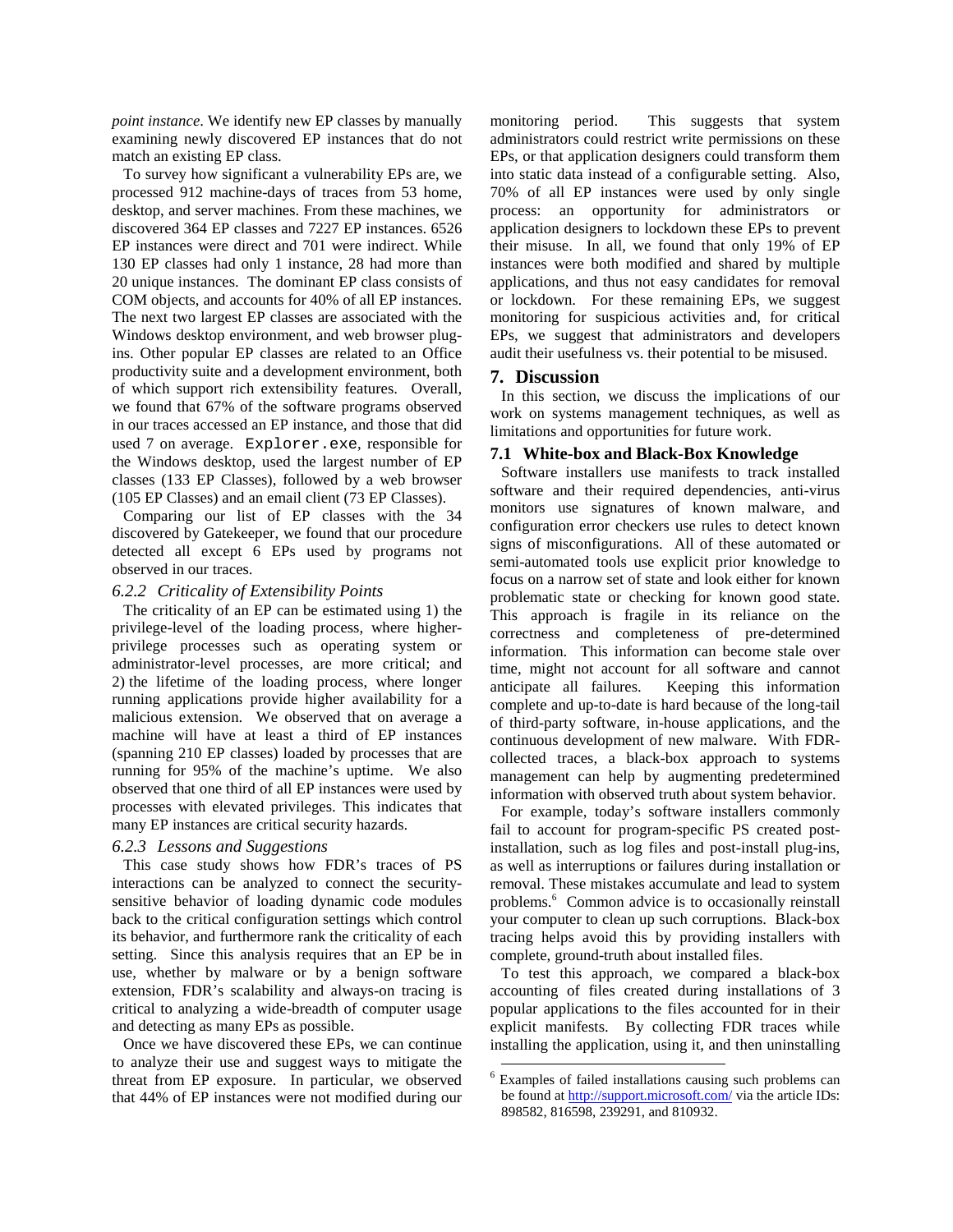*point instance*. We identify new EP classes by manually examining newly discovered EP instances that do not match an existing EP class.

To survey how significant a vulnerability EPs are, we processed 912 machine-days of traces from 53 home, desktop, and server machines. From these machines, we discovered 364 EP classes and 7227 EP instances. 6526 EP instances were direct and 701 were indirect. While 130 EP classes had only 1 instance, 28 had more than 20 unique instances. The dominant EP class consists of COM objects, and accounts for 40% of all EP instances. The next two largest EP classes are associated with the Windows desktop environment, and web browser plugins. Other popular EP classes are related to an Office productivity suite and a development environment, both of which support rich extensibility features. Overall, we found that 67% of the software programs observed in our traces accessed an EP instance, and those that did used 7 on average. Explorer.exe, responsible for the Windows desktop, used the largest number of EP classes (133 EP Classes), followed by a web browser (105 EP Classes) and an email client (73 EP Classes).

Comparing our list of EP classes with the 34 discovered by Gatekeeper, we found that our procedure detected all except 6 EPs used by programs not observed in our traces.

## *6.2.2 Criticality of Extensibility Points*

The criticality of an EP can be estimated using 1) the privilege-level of the loading process, where higherprivilege processes such as operating system or administrator-level processes, are more critical; and 2) the lifetime of the loading process, where longer running applications provide higher availability for a malicious extension. We observed that on average a machine will have at least a third of EP instances (spanning 210 EP classes) loaded by processes that are running for 95% of the machine's uptime. We also observed that one third of all EP instances were used by processes with elevated privileges. This indicates that many EP instances are critical security hazards.

#### *6.2.3 Lessons and Suggestions*

This case study shows how FDR's traces of PS interactions can be analyzed to connect the securitysensitive behavior of loading dynamic code modules back to the critical configuration settings which control its behavior, and furthermore rank the criticality of each setting. Since this analysis requires that an EP be in use, whether by malware or by a benign software extension, FDR's scalability and always-on tracing is critical to analyzing a wide-breadth of computer usage and detecting as many EPs as possible.

Once we have discovered these EPs, we can continue to analyze their use and suggest ways to mitigate the threat from EP exposure. In particular, we observed that 44% of EP instances were not modified during our monitoring period. This suggests that system administrators could restrict write permissions on these EPs, or that application designers could transform them into static data instead of a configurable setting. Also, 70% of all EP instances were used by only single process: an opportunity for administrators or application designers to lockdown these EPs to prevent their misuse. In all, we found that only 19% of EP instances were both modified and shared by multiple applications, and thus not easy candidates for removal or lockdown. For these remaining EPs, we suggest monitoring for suspicious activities and, for critical EPs, we suggest that administrators and developers audit their usefulness vs. their potential to be misused.

## **7. Discussion**

In this section, we discuss the implications of our work on systems management techniques, as well as limitations and opportunities for future work.

#### **7.1 White-box and Black-Box Knowledge**

Software installers use manifests to track installed software and their required dependencies, anti-virus monitors use signatures of known malware, and configuration error checkers use rules to detect known signs of misconfigurations. All of these automated or semi-automated tools use explicit prior knowledge to focus on a narrow set of state and look either for known problematic state or checking for known good state. This approach is fragile in its reliance on the correctness and completeness of pre-determined information. This information can become stale over time, might not account for all software and cannot anticipate all failures. Keeping this information complete and up-to-date is hard because of the long-tail of third-party software, in-house applications, and the continuous development of new malware. With FDRcollected traces, a black-box approach to systems management can help by augmenting predetermined information with observed truth about system behavior.

For example, today's software installers commonly fail to account for program-specific PS created postinstallation, such as log files and post-install plug-ins, as well as interruptions or failures during installation or removal. These mistakes accumulate and lead to system problems.<sup>6</sup> Common advice is to occasionally reinstall your computer to clean up such corruptions. Black-box tracing helps avoid this by providing installers with complete, ground-truth about installed files.

To test this approach, we compared a black-box accounting of files created during installations of 3 popular applications to the files accounted for in their explicit manifests. By collecting FDR traces while installing the application, using it, and then uninstalling

 $\overline{a}$ 

<sup>6</sup> Examples of failed installations causing such problems can be found at http://support.microsoft.com/ via the article IDs: 898582, 816598, 239291, and 810932.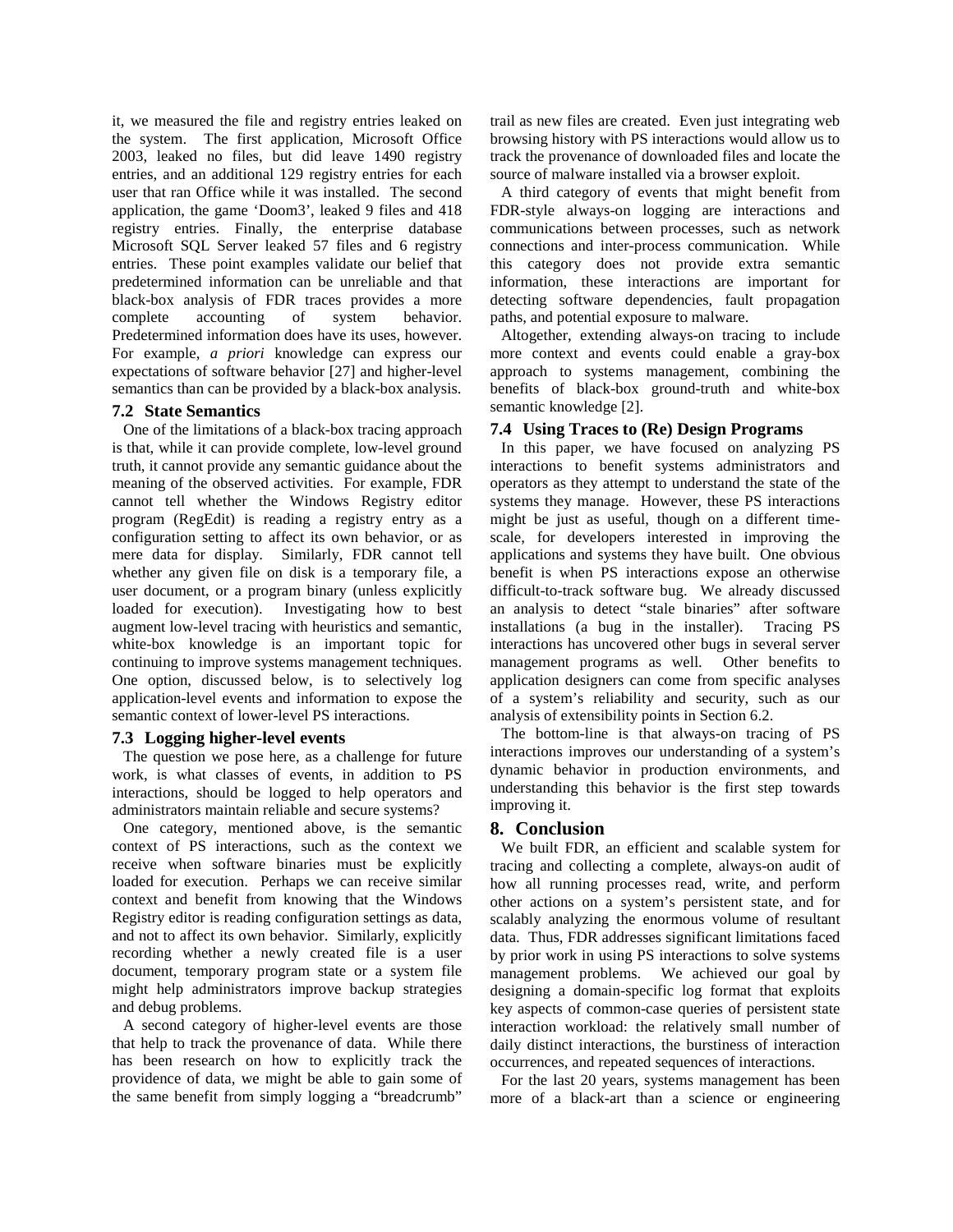it, we measured the file and registry entries leaked on the system. The first application, Microsoft Office 2003, leaked no files, but did leave 1490 registry entries, and an additional 129 registry entries for each user that ran Office while it was installed. The second application, the game 'Doom3', leaked 9 files and 418 registry entries. Finally, the enterprise database Microsoft SQL Server leaked 57 files and 6 registry entries. These point examples validate our belief that predetermined information can be unreliable and that black-box analysis of FDR traces provides a more complete accounting of system behavior. Predetermined information does have its uses, however. For example, *a priori* knowledge can express our expectations of software behavior [27] and higher-level semantics than can be provided by a black-box analysis.

## **7.2 State Semantics**

One of the limitations of a black-box tracing approach is that, while it can provide complete, low-level ground truth, it cannot provide any semantic guidance about the meaning of the observed activities. For example, FDR cannot tell whether the Windows Registry editor program (RegEdit) is reading a registry entry as a configuration setting to affect its own behavior, or as mere data for display. Similarly, FDR cannot tell whether any given file on disk is a temporary file, a user document, or a program binary (unless explicitly loaded for execution). Investigating how to best augment low-level tracing with heuristics and semantic, white-box knowledge is an important topic for continuing to improve systems management techniques. One option, discussed below, is to selectively log application-level events and information to expose the semantic context of lower-level PS interactions.

#### **7.3 Logging higher-level events**

The question we pose here, as a challenge for future work, is what classes of events, in addition to PS interactions, should be logged to help operators and administrators maintain reliable and secure systems?

One category, mentioned above, is the semantic context of PS interactions, such as the context we receive when software binaries must be explicitly loaded for execution. Perhaps we can receive similar context and benefit from knowing that the Windows Registry editor is reading configuration settings as data, and not to affect its own behavior. Similarly, explicitly recording whether a newly created file is a user document, temporary program state or a system file might help administrators improve backup strategies and debug problems.

A second category of higher-level events are those that help to track the provenance of data. While there has been research on how to explicitly track the providence of data, we might be able to gain some of the same benefit from simply logging a "breadcrumb" trail as new files are created. Even just integrating web browsing history with PS interactions would allow us to track the provenance of downloaded files and locate the source of malware installed via a browser exploit.

A third category of events that might benefit from FDR-style always-on logging are interactions and communications between processes, such as network connections and inter-process communication. While this category does not provide extra semantic information, these interactions are important for detecting software dependencies, fault propagation paths, and potential exposure to malware.

Altogether, extending always-on tracing to include more context and events could enable a gray-box approach to systems management, combining the benefits of black-box ground-truth and white-box semantic knowledge [2].

## **7.4 Using Traces to (Re) Design Programs**

In this paper, we have focused on analyzing PS interactions to benefit systems administrators and operators as they attempt to understand the state of the systems they manage. However, these PS interactions might be just as useful, though on a different timescale, for developers interested in improving the applications and systems they have built. One obvious benefit is when PS interactions expose an otherwise difficult-to-track software bug. We already discussed an analysis to detect "stale binaries" after software installations (a bug in the installer). Tracing PS interactions has uncovered other bugs in several server management programs as well. Other benefits to application designers can come from specific analyses of a system's reliability and security, such as our analysis of extensibility points in Section 6.2.

The bottom-line is that always-on tracing of PS interactions improves our understanding of a system's dynamic behavior in production environments, and understanding this behavior is the first step towards improving it.

## **8. Conclusion**

We built FDR, an efficient and scalable system for tracing and collecting a complete, always-on audit of how all running processes read, write, and perform other actions on a system's persistent state, and for scalably analyzing the enormous volume of resultant data. Thus, FDR addresses significant limitations faced by prior work in using PS interactions to solve systems management problems. We achieved our goal by designing a domain-specific log format that exploits key aspects of common-case queries of persistent state interaction workload: the relatively small number of daily distinct interactions, the burstiness of interaction occurrences, and repeated sequences of interactions.

For the last 20 years, systems management has been more of a black-art than a science or engineering